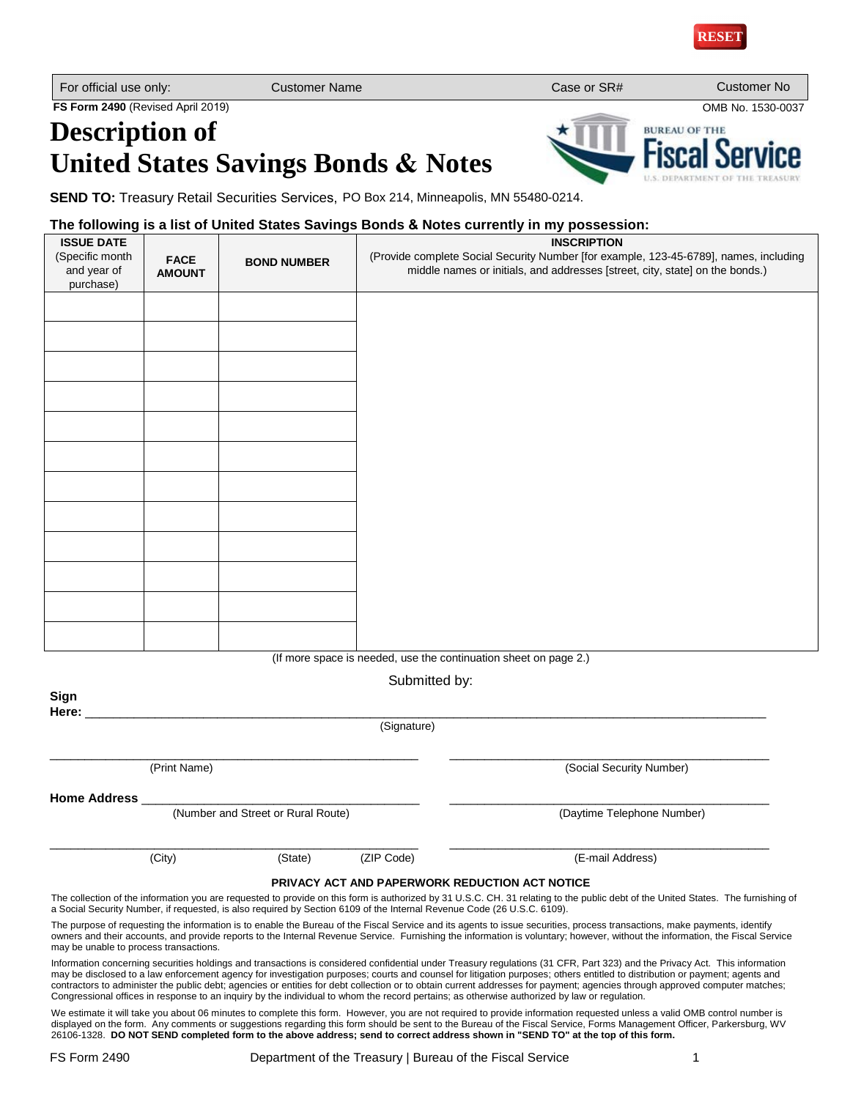

**BUREAU OF THE** 

**FS Form 2490** (Revised April 2019) OMB No. 1530-0037

## **Description of United States Savings Bonds & Notes**

**SEND TO:** Treasury Retail Securities Services, PO Box 214, Minneapolis, MN 55480-0214.

## **The following is a list of United States Savings Bonds & Notes currently in my possession:**

| <b>ISSUE DATE</b><br>(Specific month                             |                              |                    | <b>INSCRIPTION</b><br>(Provide complete Social Security Number [for example, 123-45-6789], names, including |  |  |
|------------------------------------------------------------------|------------------------------|--------------------|-------------------------------------------------------------------------------------------------------------|--|--|
| and year of<br>purchase)                                         | <b>FACE</b><br><b>AMOUNT</b> | <b>BOND NUMBER</b> | middle names or initials, and addresses [street, city, state] on the bonds.)                                |  |  |
|                                                                  |                              |                    |                                                                                                             |  |  |
|                                                                  |                              |                    |                                                                                                             |  |  |
|                                                                  |                              |                    |                                                                                                             |  |  |
|                                                                  |                              |                    |                                                                                                             |  |  |
|                                                                  |                              |                    |                                                                                                             |  |  |
|                                                                  |                              |                    |                                                                                                             |  |  |
|                                                                  |                              |                    |                                                                                                             |  |  |
|                                                                  |                              |                    |                                                                                                             |  |  |
|                                                                  |                              |                    |                                                                                                             |  |  |
|                                                                  |                              |                    |                                                                                                             |  |  |
|                                                                  |                              |                    |                                                                                                             |  |  |
|                                                                  |                              |                    |                                                                                                             |  |  |
|                                                                  |                              |                    |                                                                                                             |  |  |
| (If more space is needed, use the continuation sheet on page 2.) |                              |                    |                                                                                                             |  |  |
| Sign                                                             |                              |                    | Submitted by:                                                                                               |  |  |
|                                                                  |                              |                    | (Signature)                                                                                                 |  |  |
|                                                                  | (Print Name)                 |                    | (Social Security Number)                                                                                    |  |  |
| Home Address _<br>(Number and Street or Rural Route)             |                              |                    | (Daytime Telephone Number)                                                                                  |  |  |

\_\_\_\_\_\_\_\_\_\_\_\_\_\_\_\_\_\_\_\_\_\_\_\_\_\_\_\_\_\_\_\_\_\_\_\_\_\_\_\_\_\_\_\_\_\_\_\_\_\_\_\_\_ \_\_\_\_\_\_\_\_\_\_\_\_\_\_\_\_\_\_\_\_\_\_\_\_\_\_\_\_\_\_\_\_\_\_\_\_\_\_\_\_\_\_\_\_\_\_ (City) (State) (ZIP Code) (E-mail Address)

## **PRIVACY ACT AND PAPERWORK REDUCTION ACT NOTICE**

The collection of the information you are requested to provide on this form is authorized by 31 U.S.C. CH. 31 relating to the public debt of the United States. The furnishing of a Social Security Number, if requested, is also required by Section 6109 of the Internal Revenue Code (26 U.S.C. 6109).

The purpose of requesting the information is to enable the Bureau of the Fiscal Service and its agents to issue securities, process transactions, make payments, identify owners and their accounts, and provide reports to the Internal Revenue Service. Furnishing the information is voluntary; however, without the information, the Fiscal Service may be unable to process transactions.

Information concerning securities holdings and transactions is considered confidential under Treasury regulations (31 CFR, Part 323) and the Privacy Act. This information may be disclosed to a law enforcement agency for investigation purposes; courts and counsel for litigation purposes; others entitled to distribution or payment; agents and contractors to administer the public debt; agencies or entities for debt collection or to obtain current addresses for payment; agencies through approved computer matches; Congressional offices in response to an inquiry by the individual to whom the record pertains; as otherwise authorized by law or regulation.

We estimate it will take you about 06 minutes to complete this form. However, you are not required to provide information requested unless a valid OMB control number is displayed on the form. Any comments or suggestions regarding this form should be sent to the Bureau of the Fiscal Service, Forms Management Officer, Parkersburg, WV 26106-1328. **DO NOT SEND completed form to the above address; send to correct address shown in "SEND TO" at the top of this form.**